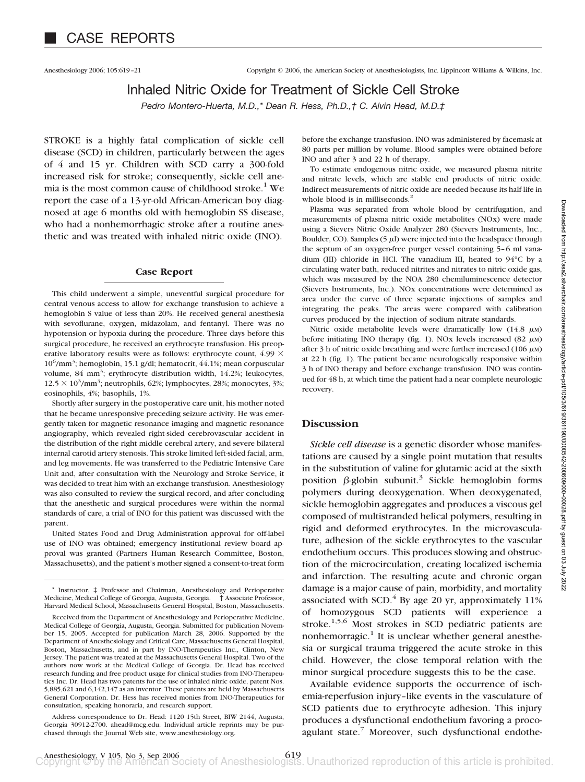## Inhaled Nitric Oxide for Treatment of Sickle Cell Stroke

*Pedro Montero-Huerta, M.D.,\* Dean R. Hess, Ph.D.,† C. Alvin Head, M.D.‡*

STROKE is a highly fatal complication of sickle cell disease (SCD) in children, particularly between the ages of 4 and 15 yr. Children with SCD carry a 300-fold increased risk for stroke; consequently, sickle cell anemia is the most common cause of childhood stroke.<sup>1</sup> We report the case of a 13-yr-old African-American boy diagnosed at age 6 months old with hemoglobin SS disease, who had a nonhemorrhagic stroke after a routine anesthetic and was treated with inhaled nitric oxide (INO).

### **Case Report**

This child underwent a simple, uneventful surgical procedure for central venous access to allow for exchange transfusion to achieve a hemoglobin S value of less than 20%. He received general anesthesia with sevoflurane, oxygen, midazolam, and fentanyl. There was no hypotension or hypoxia during the procedure. Three days before this surgical procedure, he received an erythrocyte transfusion. His preoperative laboratory results were as follows: erythrocyte count, 4.99  $\times$ 10<sup>6</sup>/mm<sup>3</sup>; hemoglobin, 15.1 g/dl; hematocrit, 44.1%; mean corpuscular volume, 84 mm<sup>3</sup>; erythrocyte distribution width, 14.2%; leukocytes,  $12.5 \times 10^3/\text{mm}^3$ ; neutrophils, 62%; lymphocytes, 28%; monocytes, 3%; eosinophils, 4%; basophils, 1%.

Shortly after surgery in the postoperative care unit, his mother noted that he became unresponsive preceding seizure activity. He was emergently taken for magnetic resonance imaging and magnetic resonance angiography, which revealed right-sided cerebrovascular accident in the distribution of the right middle cerebral artery, and severe bilateral internal carotid artery stenosis. This stroke limited left-sided facial, arm, and leg movements. He was transferred to the Pediatric Intensive Care Unit and, after consultation with the Neurology and Stroke Service, it was decided to treat him with an exchange transfusion. Anesthesiology was also consulted to review the surgical record, and after concluding that the anesthetic and surgical procedures were within the normal standards of care, a trial of INO for this patient was discussed with the parent.

United States Food and Drug Administration approval for off-label use of INO was obtained; emergency institutional review board approval was granted (Partners Human Research Committee, Boston, Massachusetts), and the patient's mother signed a consent-to-treat form before the exchange transfusion. INO was administered by facemask at 80 parts per million by volume. Blood samples were obtained before INO and after 3 and 22 h of therapy.

To estimate endogenous nitric oxide, we measured plasma nitrite and nitrate levels, which are stable end products of nitric oxide. Indirect measurements of nitric oxide are needed because its half-life in whole blood is in milliseconds.<sup>2</sup>

Plasma was separated from whole blood by centrifugation, and measurements of plasma nitric oxide metabolites (NOx) were made using a Sievers Nitric Oxide Analyzer 280 (Sievers Instruments, Inc., Boulder, CO). Samples (5  $\mu$ I) were injected into the headspace through the septum of an oxygen-free purger vessel containing 5–6 ml vanadium (III) chloride in HCl. The vanadium III, heated to 94°C by a circulating water bath, reduced nitrites and nitrates to nitric oxide gas, which was measured by the NOA 280 chemiluminescence detector (Sievers Instruments, Inc.). NOx concentrations were determined as area under the curve of three separate injections of samples and integrating the peaks. The areas were compared with calibration curves produced by the injection of sodium nitrate standards.

Nitric oxide metabolite levels were dramatically low  $(14.8 \mu)$ before initiating INO therapy (fig. 1). NOx levels increased (82  $\mu$ M) after 3 h of nitric oxide breathing and were further increased (106  $\mu$ M) at 22 h (fig. 1). The patient became neurologically responsive within 3 h of INO therapy and before exchange transfusion. INO was continued for 48 h, at which time the patient had a near complete neurologic recovery.

### **Discussion**

*Sickle cell disease* is a genetic disorder whose manifestations are caused by a single point mutation that results in the substitution of valine for glutamic acid at the sixth position  $\beta$ -globin subunit.<sup>3</sup> Sickle hemoglobin forms polymers during deoxygenation. When deoxygenated, sickle hemoglobin aggregates and produces a viscous gel composed of multistranded helical polymers, resulting in rigid and deformed erythrocytes. In the microvasculature, adhesion of the sickle erythrocytes to the vascular endothelium occurs. This produces slowing and obstruction of the microcirculation, creating localized ischemia and infarction. The resulting acute and chronic organ damage is a major cause of pain, morbidity, and mortality associated with SCD. $^{4}$  By age 20 yr, approximately 11% of homozygous SCD patients will experience a stroke. $1,5,6$  Most strokes in SCD pediatric patients are nonhemorragic.<sup>1</sup> It is unclear whether general anesthesia or surgical trauma triggered the acute stroke in this child. However, the close temporal relation with the minor surgical procedure suggests this to be the case.

Available evidence supports the occurrence of ischemia-reperfusion injury–like events in the vasculature of SCD patients due to erythrocyte adhesion. This injury produces a dysfunctional endothelium favoring a procoagulant state. $\frac{7}{1}$  Moreover, such dysfunctional endothe-

Instructor,  $\ddagger$  Professor and Chairman, Anesthesiology and Perioperative Medicine, Medical College of Georgia, Augusta, Georgia. † Associate Professor, Harvard Medical School, Massachusetts General Hospital, Boston, Massachusetts.

Received from the Department of Anesthesiology and Perioperative Medicine, Medical College of Georgia, Augusta, Georgia. Submitted for publication November 15, 2005. Accepted for publication March 28, 2006. Supported by the Department of Anesthesiology and Critical Care, Massachusetts General Hospital, Boston, Massachusetts, and in part by INO-Therapeutics Inc., Clinton, New Jersey. The patient was treated at the Massachusetts General Hospital. Two of the authors now work at the Medical College of Georgia. Dr. Head has received research funding and free product usage for clinical studies from INO-Therapeutics Inc. Dr. Head has two patents for the use of inhaled nitric oxide, patent Nos. 5,885,621 and 6,142,147 as an inventor. These patents are held by Massachusetts General Corporation. Dr. Hess has received monies from INO-Therapeutics for consultation, speaking honoraria, and research support.

Address correspondence to Dr. Head: 1120 15th Street, BIW 2144, Augusta, Georgia 30912-2700. ahead@mcg.edu. Individual article reprints may be purchased through the Journal Web site, www.anesthesiology.org.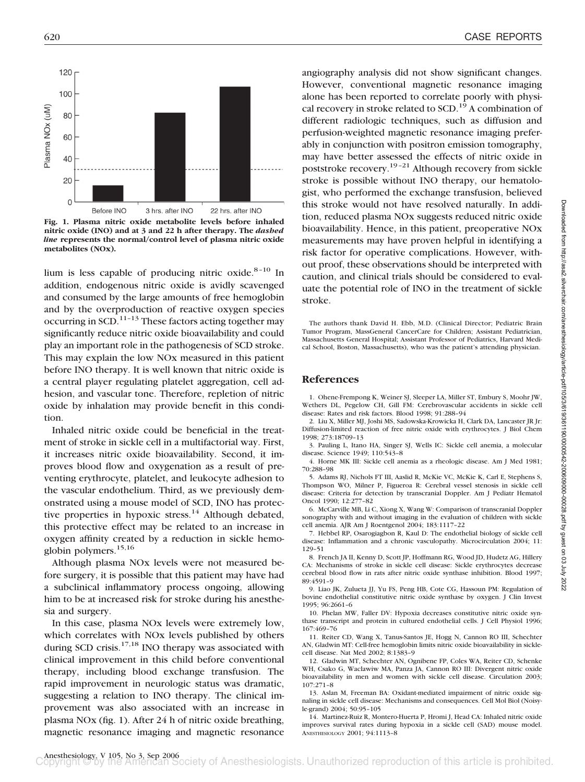

**Fig. 1. Plasma nitric oxide metabolite levels before inhaled nitric oxide (INO) and at 3 and 22 h after therapy. The** *dashed line* **represents the normal/control level of plasma nitric oxide metabolites (NOx).**

lium is less capable of producing nitric oxide. $8-10$  In addition, endogenous nitric oxide is avidly scavenged and consumed by the large amounts of free hemoglobin and by the overproduction of reactive oxygen species occurring in SCD.<sup>11–13</sup> These factors acting together may significantly reduce nitric oxide bioavailability and could play an important role in the pathogenesis of SCD stroke. This may explain the low NOx measured in this patient before INO therapy. It is well known that nitric oxide is a central player regulating platelet aggregation, cell adhesion, and vascular tone. Therefore, repletion of nitric oxide by inhalation may provide benefit in this condition.

Inhaled nitric oxide could be beneficial in the treatment of stroke in sickle cell in a multifactorial way. First, it increases nitric oxide bioavailability. Second, it improves blood flow and oxygenation as a result of preventing erythrocyte, platelet, and leukocyte adhesion to the vascular endothelium. Third, as we previously demonstrated using a mouse model of SCD, INO has protective properties in hypoxic stress.<sup>14</sup> Although debated, this protective effect may be related to an increase in oxygen affinity created by a reduction in sickle hemoglobin polymers.15,16

Although plasma NOx levels were not measured before surgery, it is possible that this patient may have had a subclinical inflammatory process ongoing, allowing him to be at increased risk for stroke during his anesthesia and surgery.

In this case, plasma NOx levels were extremely low, which correlates with NOx levels published by others during SCD crisis. $17,18$  INO therapy was associated with clinical improvement in this child before conventional therapy, including blood exchange transfusion. The rapid improvement in neurologic status was dramatic, suggesting a relation to INO therapy. The clinical improvement was also associated with an increase in plasma NOx (fig. 1). After 24 h of nitric oxide breathing, magnetic resonance imaging and magnetic resonance

angiography analysis did not show significant changes. However, conventional magnetic resonance imaging alone has been reported to correlate poorly with physical recovery in stroke related to  $SCD<sup>19</sup>$  A combination of different radiologic techniques, such as diffusion and perfusion-weighted magnetic resonance imaging preferably in conjunction with positron emission tomography, may have better assessed the effects of nitric oxide in poststroke recovery.19–21 Although recovery from sickle stroke is possible without INO therapy, our hematologist, who performed the exchange transfusion, believed this stroke would not have resolved naturally. In addition, reduced plasma NOx suggests reduced nitric oxide bioavailability. Hence, in this patient, preoperative NOx measurements may have proven helpful in identifying a risk factor for operative complications. However, without proof, these observations should be interpreted with caution, and clinical trials should be considered to evaluate the potential role of INO in the treatment of sickle stroke.

The authors thank David H. Ebb, M.D. (Clinical Director; Pediatric Brain Tumor Program, MassGeneral CancerCare for Children; Assistant Pediatrician, Massachusetts General Hospital; Assistant Professor of Pediatrics, Harvard Medical School, Boston, Massachusetts), who was the patient's attending physician.

#### **References**

1. Ohene-Frempong K, Weiner SJ, Sleeper LA, Miller ST, Embury S, Moohr JW, Wethers DL, Pegelow CH, Gill FM: Cerebrovascular accidents in sickle cell disease: Rates and risk factors. Blood 1998; 91:288–94

2. Liu X, Miller MJ, Joshi MS, Sadowska-Krowicka H, Clark DA, Lancaster JR Jr: Diffusion-limited reaction of free nitric oxide with erythrocytes. J Biol Chem 1998; 273:18709–13

3. Pauling L, Itano HA, Singer SJ, Wells IC: Sickle cell anemia, a molecular disease. Science 1949; 110:543–8

4. Horne MK III: Sickle cell anemia as a rheologic disease. Am J Med 1981; 70:288–98

5. Adams RJ, Nichols FT III, Aaslid R, McKie VC, McKie K, Carl E, Stephens S, Thompson WO, Milner P, Figueroa R: Cerebral vessel stenosis in sickle cell disease: Criteria for detection by transcranial Doppler. Am J Pediatr Hematol Oncol 1990; 12:277–82

6. McCarville MB, Li C, Xiong X, Wang W: Comparison of transcranial Doppler sonography with and without imaging in the evaluation of children with sickle cell anemia. AJR Am J Roentgenol 2004; 183:1117–22

7. Hebbel RP, Osarogiagbon R, Kaul D: The endothelial biology of sickle cell disease: Inflammation and a chronic vasculopathy. Microcirculation 2004; 11: 129–51

8. French JA II, Kenny D, Scott JP, Hoffmann RG, Wood JD, Hudetz AG, Hillery CA: Mechanisms of stroke in sickle cell disease: Sickle erythrocytes decrease cerebral blood flow in rats after nitric oxide synthase inhibition. Blood 1997; 89:4591–9

9. Liao JK, Zulueta JJ, Yu FS, Peng HB, Cote CG, Hassoun PM: Regulation of bovine endothelial constitutive nitric oxide synthase by oxygen. J Clin Invest 1995; 96:2661–6

10. Phelan MW, Faller DV: Hypoxia decreases constitutive nitric oxide synthase transcript and protein in cultured endothelial cells. J Cell Physiol 1996; 167:469–76

11. Reiter CD, Wang X, Tanus-Santos JE, Hogg N, Cannon RO III, Schechter AN, Gladwin MT: Cell-free hemoglobin limits nitric oxide bioavailability in sicklecell disease. Nat Med 2002; 8:1383–9

12. Gladwin MT, Schechter AN, Ognibene FP, Coles WA, Reiter CD, Schenke WH, Csako G, Waclawiw MA, Panza JA, Cannon RO III: Divergent nitric oxide bioavailability in men and women with sickle cell disease. Circulation 2003; 107:271–8

13. Aslan M, Freeman BA: Oxidant-mediated impairment of nitric oxide signaling in sickle cell disease: Mechanisms and consequences. Cell Mol Biol (Noisyle-grand) 2004; 50:95–105

14. Martinez-Ruiz R, Montero-Huerta P, Hromi J, Head CA: Inhaled nitric oxide improves survival rates during hypoxia in a sickle cell (SAD) mouse model. ANESTHESIOLOGY 2001; 94:1113–8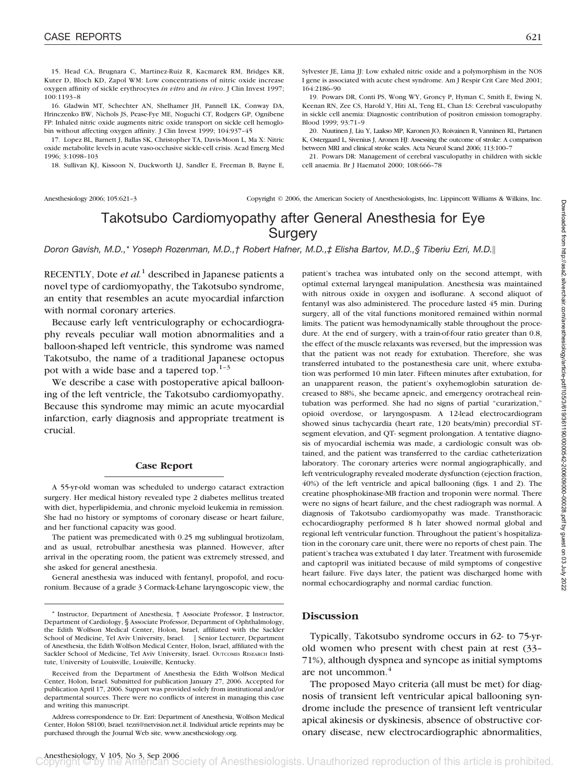15. Head CA, Brugnara C, Martinez-Ruiz R, Kacmarek RM, Bridges KR, Kuter D, Bloch KD, Zapol WM: Low concentrations of nitric oxide increase oxygen affinity of sickle erythrocytes *in vitro* and *in vivo*. J Clin Invest 1997; 100:1193–8

16. Gladwin MT, Schechter AN, Shelhamer JH, Pannell LK, Conway DA, Hrinczenko BW, Nichols JS, Pease-Fye ME, Noguchi CT, Rodgers GP, Ognibene FP: Inhaled nitric oxide augments nitric oxide transport on sickle cell hemoglobin without affecting oxygen affinity. J Clin Invest 1999; 104:937–45

17. Lopez BL, Barnett J, Ballas SK, Christopher TA, Davis-Moon L, Ma X: Nitric oxide metabolite levels in acute vaso-occlusive sickle-cell crisis. Acad Emerg Med 1996; 3:1098–103

18. Sullivan KJ, Kissoon N, Duckworth LJ, Sandler E, Freeman B, Bayne E,

Sylvester JE, Lima JJ: Low exhaled nitric oxide and a polymorphism in the NOS I gene is associated with acute chest syndrome. Am J Respir Crit Care Med 2001; 164:2186–90

19. Powars DR, Conti PS, Wong WY, Groncy P, Hyman C, Smith E, Ewing N, Keenan RN, Zee CS, Harold Y, Hiti AL, Teng EL, Chan LS: Cerebral vasculopathy in sickle cell anemia: Diagnostic contribution of positron emission tomography. Blood 1999; 93:71–9

20. Nuutinen J, Liu Y, Laakso MP, Karonen JO, Roivainen R, Vanninen RL, Partanen K, Ostergaard L, Sivenius J, Aronen HJ: Assessing the outcome of stroke: A comparison between MRI and clinical stroke scales. Acta Neurol Scand 2006; 113:100–7

21. Powars DR: Management of cerebral vasculopathy in children with sickle cell anaemia. Br J Haematol 2000; 108:666–78

Anesthesiology 2006; 105:621-3 Copyright © 2006, the American Society of Anesthesiologists, Inc. Lippincott Williams & Wilkins, Inc.

# Takotsubo Cardiomyopathy after General Anesthesia for Eye **Surgery**

*Doron Gavish, M.D.,\* Yoseph Rozenman, M.D.,† Robert Hafner, M.D.,‡ Elisha Bartov, M.D.,§ Tiberiu Ezri, M.D.*-

RECENTLY, Dote *et al.*<sup>1</sup> described in Japanese patients a novel type of cardiomyopathy, the Takotsubo syndrome, an entity that resembles an acute myocardial infarction with normal coronary arteries.

Because early left ventriculography or echocardiography reveals peculiar wall motion abnormalities and a balloon-shaped left ventricle, this syndrome was named Takotsubo, the name of a traditional Japanese octopus pot with a wide base and a tapered top. $1-3$ 

We describe a case with postoperative apical ballooning of the left ventricle, the Takotsubo cardiomyopathy. Because this syndrome may mimic an acute myocardial infarction, early diagnosis and appropriate treatment is crucial.

### **Case Report**

A 55-yr-old woman was scheduled to undergo cataract extraction surgery. Her medical history revealed type 2 diabetes mellitus treated with diet, hyperlipidemia, and chronic myeloid leukemia in remission. She had no history or symptoms of coronary disease or heart failure, and her functional capacity was good.

The patient was premedicated with 0.25 mg sublingual brotizolam, and as usual, retrobulbar anesthesia was planned. However, after arrival in the operating room, the patient was extremely stressed, and she asked for general anesthesia.

General anesthesia was induced with fentanyl, propofol, and rocuronium. Because of a grade 3 Cormack-Lehane laryngoscopic view, the

patient's trachea was intubated only on the second attempt, with optimal external laryngeal manipulation. Anesthesia was maintained with nitrous oxide in oxygen and isoflurane. A second aliquot of fentanyl was also administered. The procedure lasted 45 min. During surgery, all of the vital functions monitored remained within normal limits. The patient was hemodynamically stable throughout the procedure. At the end of surgery, with a train-of-four ratio greater than 0.8, the effect of the muscle relaxants was reversed, but the impression was that the patient was not ready for extubation. Therefore, she was transferred intubated to the postanesthesia care unit, where extubation was performed 10 min later. Fifteen minutes after extubation, for an unapparent reason, the patient's oxyhemoglobin saturation decreased to 88%, she became apneic, and emergency orotracheal reintubation was performed. She had no signs of partial "curarization," opioid overdose, or laryngospasm. A 12-lead electrocardiogram showed sinus tachycardia (heart rate, 120 beats/min) precordial STsegment elevation, and QT- segment prolongation. A tentative diagnosis of myocardial ischemia was made, a cardiologic consult was obtained, and the patient was transferred to the cardiac catheterization laboratory. The coronary arteries were normal angiographically, and left ventriculography revealed moderate dysfunction (ejection fraction, 40%) of the left ventricle and apical ballooning (figs. 1 and 2). The creatine phosphokinase-MB fraction and troponin were normal. There were no signs of heart failure, and the chest radiograph was normal. A diagnosis of Takotsubo cardiomyopathy was made. Transthoracic echocardiography performed 8 h later showed normal global and regional left ventricular function. Throughout the patient's hospitalization in the coronary care unit, there were no reports of chest pain. The patient's trachea was extubated 1 day later. Treatment with furosemide and captopril was initiated because of mild symptoms of congestive heart failure. Five days later, the patient was discharged home with normal echocardiography and normal cardiac function.

### **Discussion**

Typically, Takotsubo syndrome occurs in 62- to 75-yrold women who present with chest pain at rest (33– 71%), although dyspnea and syncope as initial symptoms are not uncommon.<sup>4</sup>

The proposed Mayo criteria (all must be met) for diagnosis of transient left ventricular apical ballooning syndrome include the presence of transient left ventricular apical akinesis or dyskinesis, absence of obstructive coronary disease, new electrocardiographic abnormalities,

<sup>\*</sup> Instructor, Department of Anesthesia, † Associate Professor, ‡ Instructor, Department of Cardiology, § Associate Professor, Department of Ophthalmology, the Edith Wolfson Medical Center, Holon, Israel, affiliated with the Sackler School of Medicine, Tel Aviv University, Israel. | Senior Lecturer, Department of Anesthesia, the Edith Wolfson Medical Center, Holon, Israel, affiliated with the Sackler School of Medicine, Tel Aviv University, Israel. OUTCOMES RESEARCH Institute, University of Louisville, Louisville, Kentucky.

Received from the Department of Anesthesia the Edith Wolfson Medical Center, Holon, Israel. Submitted for publication January 27, 2006. Accepted for publication April 17, 2006. Support was provided solely from institutional and/or departmental sources. There were no conflicts of interest in managing this case and writing this manuscript.

Address correspondence to Dr. Ezri: Department of Anesthesia, Wolfson Medical Center, Holon 58100, Israel. tezri@netvision.net.il. Individual article reprints may be purchased through the Journal Web site, www.anesthesiology.org.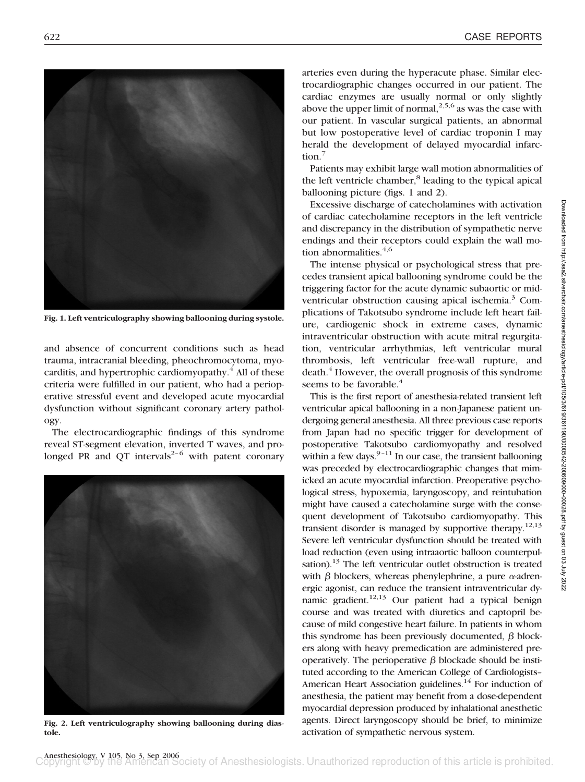

**Fig. 1. Left ventriculography showing ballooning during systole.**

and absence of concurrent conditions such as head trauma, intracranial bleeding, pheochromocytoma, myocarditis, and hypertrophic cardiomyopathy.<sup>4</sup> All of these criteria were fulfilled in our patient, who had a perioperative stressful event and developed acute myocardial dysfunction without significant coronary artery pathology.

The electrocardiographic findings of this syndrome reveal ST-segment elevation, inverted T waves, and prolonged PR and QT intervals<sup>2-6</sup> with patent coronary



**Fig. 2. Left ventriculography showing ballooning during diastole.**

arteries even during the hyperacute phase. Similar electrocardiographic changes occurred in our patient. The cardiac enzymes are usually normal or only slightly above the upper limit of normal,<sup>2,5,6</sup> as was the case with our patient. In vascular surgical patients, an abnormal but low postoperative level of cardiac troponin I may herald the development of delayed myocardial infarction.<sup>7</sup>

Patients may exhibit large wall motion abnormalities of the left ventricle chamber,<sup>8</sup> leading to the typical apical ballooning picture (figs. 1 and 2).

Excessive discharge of catecholamines with activation of cardiac catecholamine receptors in the left ventricle and discrepancy in the distribution of sympathetic nerve endings and their receptors could explain the wall motion abnormalities. $4,6$ 

The intense physical or psychological stress that precedes transient apical ballooning syndrome could be the triggering factor for the acute dynamic subaortic or midventricular obstruction causing apical ischemia.<sup>3</sup> Complications of Takotsubo syndrome include left heart failure, cardiogenic shock in extreme cases, dynamic intraventricular obstruction with acute mitral regurgitation, ventricular arrhythmias, left ventricular mural thrombosis, left ventricular free-wall rupture, and death.<sup>4</sup> However, the overall prognosis of this syndrome seems to be favorable.<sup>4</sup>

This is the first report of anesthesia-related transient left ventricular apical ballooning in a non-Japanese patient undergoing general anesthesia. All three previous case reports from Japan had no specific trigger for development of postoperative Takotsubo cardiomyopathy and resolved within a few days. $9-11$  In our case, the transient ballooning was preceded by electrocardiographic changes that mimicked an acute myocardial infarction. Preoperative psychological stress, hypoxemia, laryngoscopy, and reintubation might have caused a catecholamine surge with the consequent development of Takotsubo cardiomyopathy. This transient disorder is managed by supportive therapy.<sup>12,13</sup> Severe left ventricular dysfunction should be treated with load reduction (even using intraaortic balloon counterpulsation).<sup>13</sup> The left ventricular outlet obstruction is treated with  $\beta$  blockers, whereas phenylephrine, a pure  $\alpha$ -adrenergic agonist, can reduce the transient intraventricular dynamic gradient.<sup>12,13</sup> Our patient had a typical benign course and was treated with diuretics and captopril because of mild congestive heart failure. In patients in whom this syndrome has been previously documented,  $\beta$  blockers along with heavy premedication are administered preoperatively. The perioperative  $\beta$  blockade should be instituted according to the American College of Cardiologists– American Heart Association guidelines.<sup>14</sup> For induction of anesthesia, the patient may benefit from a dose-dependent myocardial depression produced by inhalational anesthetic agents. Direct laryngoscopy should be brief, to minimize activation of sympathetic nervous system.